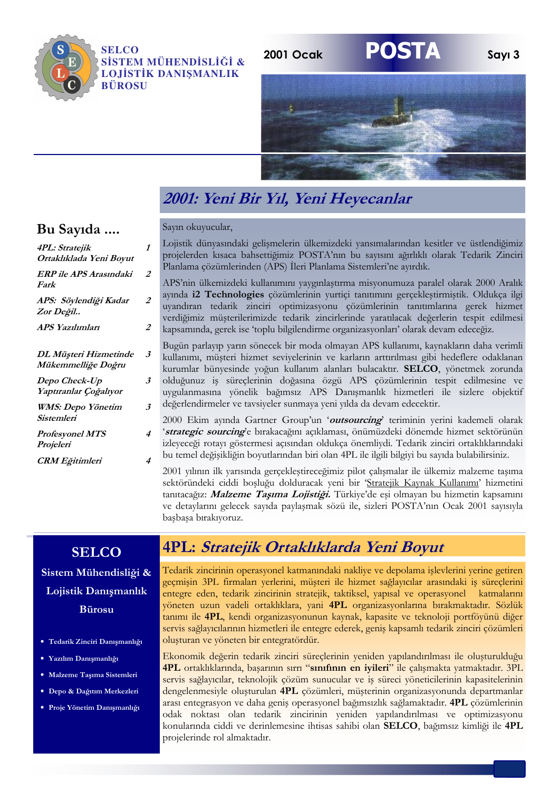

**SELCO** SİSTEM MÜHENDİSLİĞİ & **LOJİSTİK DANISMANLIK BÜROSU** 



# 2001: Yeni Bir Yıl, Yeni Heyecanlar

#### Sayın okuyucular,

 $\overline{2}$ 

 $\overline{2}$ 

 $\overline{A}$ 

 $\overline{4}$ 

Lojistik dünyasındaki gelişmelerin ülkemizdeki yansımalarından kesitler ve üstlendiğimiz  $\boldsymbol{\mathit{1}}$ projelerden kısaca bahsettiğimiz POSTA'nın bu sayısını ağırlıklı olarak Tedarik Zinciri Planlama çözümlerinden (APS) İleri Planlama Sistemleri'ne ayırdık.  $\overline{2}$ 

APS'nin ülkemizdeki kullanımını yaygınlaştırma misyonumuza paralel olarak 2000 Aralık avında i2 Technologies cözümlerinin vurtici tanıtımını gerceklestirmistik. Oldukca ilgi uvandıran tedarik zinciri optimizasyonu çözümlerinin tanıtımlarına gerek hizmet verdiğimiz müsterilerimizde tedarik zincirlerinde varatılacak değerlerin tespit edilmesi kapsamında, gerek ise 'toplu bilgilendirme organizasyonları' olarak devam edeceğiz.

Bugün parlayıp yarın sönecek bir moda olmayan APS kullanımı, kaynakların daha verimli  $\overline{\mathbf{3}}$ kullanımı, müsteri hizmet seviyelerinin ve karların arttırılması gibi hedeflere odaklanan kurumlar bünyesinde yoğun kullanım alanları bulacaktır. SELCO, yönetmek zorunda olduğunuz iş süreçlerinin doğasına özgü APS çözümlerinin tespit edilmesine ve  $\boldsymbol{\beta}$ uygulanmasına yönelik bağımsız APS Danışmanlık hizmetleri ile sizlere objektif değerlendirmeler ve tavsiyeler sunmaya yeni yılda da devam edecektir.  $\overline{\mathbf{3}}$ 

2000 Ekim ayında Gartner Group'un 'outsourcing' teriminin yerini kademeli olarak 'strategic sourcing'e bırakacağını açıklaması, önümüzdeki dönemde hizmet sektörünün izleyeceği rotayı göstermesi açısından oldukça önemliydi. Tedarik zinciri ortaklıklarındaki bu temel değişikliğin boyutlarından biri olan 4PL ile ilgili bilgiyi bu sayıda bulabilirsiniz.

2001 yılının ilk yarısında gerçeklestireceğimiz pilot çalısmalar ile ülkemiz malzeme tasıma sektöründeki ciddi boşluğu dolduracak yeni bir 'Stratejik Kaynak Kullanımı' hizmetini tanıtacağız: Malzeme Taşıma Lojistiği. Türkiye'de eşi olmayan bu hizmetin kapsamını ve detaylarını gelecek sayıda paylaşmak sözü ile, sizleri POSTA'nın Ocak 2001 sayısıyla başbaşa bırakıyoruz.

#### **SELCO**

Sistem Mühendisliği & Lojistik Danışmanlık **Bürosu** 

- · Tedarik Zinciri Danışmanlığı
- · Yazılım Danışmanlığı
- · Malzeme Taşıma Sistemleri
- · Depo & Dağıtım Merkezleri
- · Proje Yönetim Danışmanlığı

# 4PL: Stratejik Ortaklıklarda Yeni Boyut

Tedarik zincirinin operasyonel katmanındaki nakliye ve depolama işlevlerini yerine getiren gecmisin 3PL firmaları yerlerini, müsteri ile hizmet sağlayıcılar arasındaki is süreclerini entegre eden, tedarik zincirinin stratejik, taktiksel, yapısal ve operasyonel katmalarını yöneten uzun vadeli ortaklıklara, yani 4PL organizasyonlarına bırakmaktadır. Sözlük tanımı ile 4PL, kendi organizasyonunun kaynak, kapasite ve teknoloji portföyünü diğer servis sağlayıcılarının hizmetleri ile entegre ederek, geniş kapsamlı tedarik zinciri çözümleri oluşturan ve yöneten bir entegratördür.

Ekonomik değerin tedarik zinciri süreclerinin yeniden yapılandırılması ile oluşturulduğu 4PL ortaklıklarında, başarının sırrı "sınıfının en iyileri" ile çalışmakta yatmaktadır. 3PL servis sağlayıcılar, teknolojik çözüm sunucular ve iş süreci yöneticilerinin kapasitelerinin dengelenmesiyle oluşturulan 4PL çözümleri, müşterinin organizasyonunda departmanlar arası entegrasyon ve daha geniş operasyonel bağımsızlık sağlamaktadır. 4PL çözümlerinin odak noktası olan tedarik zincirinin yeniden yapılandırılması ve optimizasyonu konularında ciddi ve derinlemesine ihtisas sahibi olan SELCO, bağımsız kimliği ile 4PL projelerinde rol almaktadır.

#### Bu Sayıda ....

4PL: Stratejik

| Ortaklıklada Yeni Boyut                     |
|---------------------------------------------|
| ERP ile APS Arasındaki<br>Fark              |
| APS: Söylendiği Kadar<br>Zor Değil          |
| APS Yazılımları                             |
| DL Müşteri Hizmetinde<br>Mükemmelliğe Doğru |
|                                             |
| Depo Check-Up<br>Yaptıranlar Çoğalıyor      |

**Profesyonel MTS** Projeleri

**CRM** Eğitimleri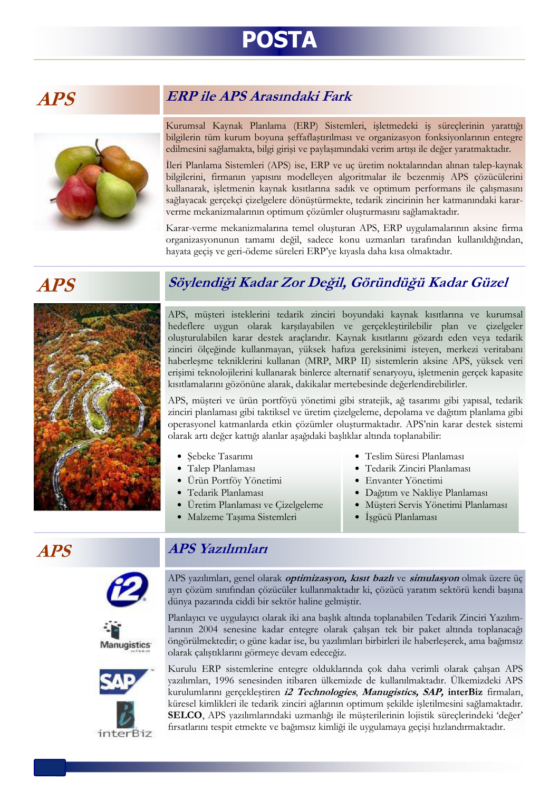# **POSTA**

# A P.S



#### **ERP** ile APS Arasındaki Fark

Kurumsal Kaynak Planlama (ERP) Sistemleri, işletmedeki iş süreçlerinin yarattığı bilgilerin tüm kurum boyuna şeffaflaştırılması ve organizasyon fonksiyonlarının entegre edilmesini sağlamakta, bilgi girişi ve paylaşımındaki verim artışı ile değer yaratmaktadır.

İleri Planlama Sistemleri (APS) ise, ERP ve uç üretim noktalarından alınan talep-kaynak bilgilerini, firmanın yapısını modelleyen algoritmalar ile bezenmiş APS çözücülerini kullanarak, işletmenin kaynak kısıtlarına sadık ve optimum performans ile çalışmasını sağlayacak gerçekçi çizelgelere dönüştürmekte, tedarik zincirinin her katmanındaki kararverme mekanizmalarının optimum çözümler oluşturmasını sağlamaktadır.

Karar-verme mekanizmalarına temel oluşturan APS, ERP uygulamalarının aksine firma organizasyonunun tamamı değil, sadece konu uzmanları tarafından kullanıldığından, hayata geçiş ve geri-ödeme süreleri ERP'ye kıyasla daha kısa olmaktadır.

# **APS**



Söylendiği Kadar Zor Değil, Göründüğü Kadar Güzel

APS, müsteri isteklerini tedarik zinciri boyundaki kaynak kısıtlarına ve kurumsal hedeflere uygun olarak karşılayabilen ve gerçekleştirilebilir plan ve çizelgeler oluşturulabilen karar destek araçlarıdır. Kaynak kısıtlarını gözardı eden veya tedarik zinciri ölçeğinde kullanmayan, yüksek hafıza gereksinimi isteyen, merkezi veritabanı haberleşme tekniklerini kullanan (MRP, MRP II) sistemlerin aksine APS, yüksek veri erişimi teknolojilerini kullanarak binlerce alternatif senaryoyu, işletmenin gerçek kapasite kısıtlamalarını gözönüne alarak, dakikalar mertebesinde değerlendirebilirler.

APS, müşteri ve ürün portföyü yönetimi gibi stratejik, ağ tasarımı gibi yapısal, tedarik zinciri planlaması gibi taktiksel ve üretim çizelgeleme, depolama ve dağıtım planlama gibi operasyonel katmanlarda etkin çözümler oluşturmaktadır. APS'nin karar destek sistemi olarak artı değer kattığı alanlar aşağıdaki başlıklar altında toplanabilir:

- · Şebeke Tasarımı
- · Talep Planlaması
- · Ürün Portföy Yönetimi
- · Tedarik Planlaması
- · Üretim Planlaması ve Çizelgeleme

· Malzeme Taşıma Sistemleri

- · Teslim Süresi Planlaması
- · Tedarik Zinciri Planlaması
- · Envanter Yönetimi
- · Dağıtım ve Nakliye Planlaması
	- · Müşteri Servis Yönetimi Planlaması
	- · İşgücü Planlaması

# **APS**







#### **APS** Yazılımları

APS yazılımları, genel olarak *optimizasyon, kısıt bazlı* ve simulasyon olmak üzere üç ayrı çözüm sınıfından çözücüler kullanmaktadır ki, çözücü yaratım sektörü kendi başına dünya pazarında ciddi bir sektör haline gelmiştir.

Planlayıcı ve uygulayıcı olarak iki ana başlık altında toplanabilen Tedarik Zinciri Yazılımlarının 2004 senesine kadar entegre olarak çalışan tek bir paket altında toplanacağı öngörülmektedir; o güne kadar ise, bu yazılımları birbirleri ile haberleşerek, ama bağımsız olarak çalıştıklarını görmeye devam edeceğiz.

Kurulu ERP sistemlerine entegre olduklarında çok daha verimli olarak çalısan APS yazılımları, 1996 senesinden itibaren ülkemizde de kullanılmaktadır. Ülkemizdeki APS kurulumlarını gerçekleştiren i2 Technologies, Manugistics, SAP, interBiz firmaları, küresel kimlikleri ile tedarik zinciri ağlarının optimum şekilde işletilmesini sağlamaktadır. SELCO, APS yazılımlarındaki uzmanlığı ile müşterilerinin lojistik süreçlerindeki 'değer' fırsatlarını tespit etmekte ve bağımsız kimliği ile uygulamaya geçişi hızlandırmaktadır.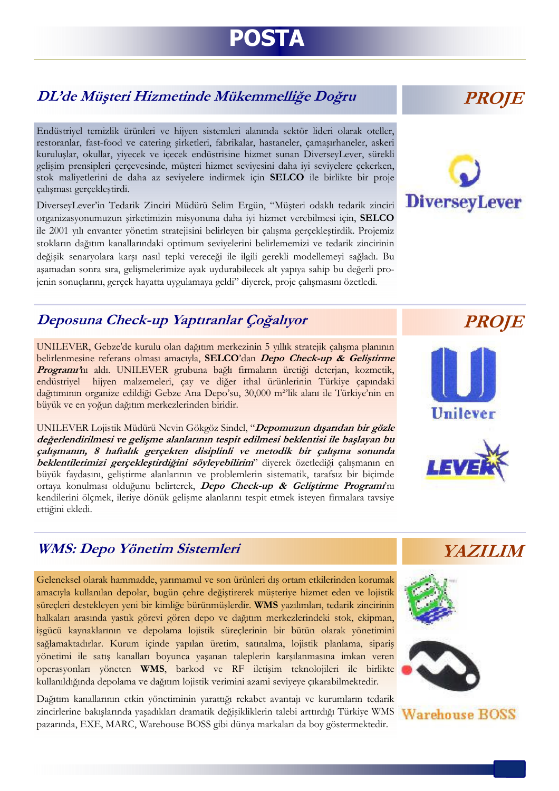# POSTA

# DL'de Müşteri Hizmetinde Mükemmelliğe Doğru

Endüstrivel temizlik ürünleri ve hijven sistemleri alanında sektör lideri olarak oteller, restoranlar, fast-food ve catering sirketleri, fabrikalar, hastaneler, çamaşırhaneler, askeri kuruluslar, okullar, vivecek ve icecek endüstrisine hizmet sunan DiverseyLever, sürekli gelisim prensipleri çerçevesinde, müşteri hizmet seviyesini daha iyi seviyelere çekerken, stok maliyetlerini de daha az seviyelere indirmek için SELCO ile birlikte bir proje çalışması gerçekleştirdi.

DiverseyLever'in Tedarik Zinciri Müdürü Selim Ergün, "Müşteri odaklı tedarik zinciri organizasyonumuzun sirketimizin misyonuna daha iyi hizmet verebilmesi için, SELCO ile 2001 yılı envanter yönetim stratejisini belirleyen bir çalışma gerçekleştirdik. Projemiz stokların dağıtım kanallarındaki optimum seviyelerini belirlememizi ve tedarik zincirinin değişik senaryolara karşı nasıl tepki vereceği ile ilgili gerekli modellemeyi sağladı. Bu aşamadan sonra sıra, gelişmelerimize ayak uydurabilecek alt yapıya sahip bu değerli projenin sonuçlarını, gerçek hayatta uygulamaya geldi" diyerek, proje çalışmasını özetledi.

#### Deposuna Check-up Yaptıranlar Çoğalıyor

UNILEVER, Gebze'de kurulu olan dağıtım merkezinin 5 yıllık stratejik çalışma planının belirlenmesine referans olması amacıyla, SELCO'dan Depo Check-up & Geliştirme Programı'nı aldı. UNILEVER grubuna bağlı firmaların üretiği deterjan, kozmetik, endüstriyel hijyen malzemeleri, çay ve diğer ithal ürünlerinin Türkiye çapındaki dağıtımının organize edildiği Gebze Ana Depo'su, 30,000 m<sup>2</sup>'lik alanı ile Türkiye'nin en büyük ve en yoğun dağıtım merkezlerinden biridir.

UNILEVER Lojistik Müdürü Nevin Gökgöz Sindel, "Depomuzun dışarıdan bir gözle değerlendirilmesi ve gelişme alanlarının tespit edilmesi beklentisi ile başlayan bu çalışmanın, 8 haftalık gerçekten disiplinli ve metodik bir çalışma sonunda beklentilerimizi gerçekleştirdiğini söyleyebilirim" diyerek özetlediği çalışmanın en büyük faydasını, geliştirme alanlarının ve problemlerin sistematik, tarafsız bir biçimde ortaya konulması olduğunu belirterek, Depo Check-up & Geliştirme Programi'nı kendilerini ölçmek, ileriye dönük gelişme alanlarını tespit etmek isteyen firmalara tavsiye ettiğini ekledi.

#### **WMS: Depo Yönetim Sistemleri**

Geleneksel olarak hammadde, yarımamul ve son ürünleri dış ortam etkilerinden korumak amacıyla kullanılan depolar, bugün çehre değiştirerek müşteriye hizmet eden ve lojistik süreçleri destekleyen yeni bir kimliğe bürünmüşlerdir. WMS yazılımları, tedarik zincirinin halkaları arasında yastık görevi gören depo ve dağıtım merkezlerindeki stok, ekipman, işgücü kaynaklarının ve depolama lojistik süreçlerinin bir bütün olarak yönetimini sağlamaktadırlar. Kurum içinde yapılan üretim, satınalma, lojistik planlama, sipariş yönetimi ile satış kanalları boyunca yaşanan taleplerin karşılanmasına imkan veren operasyonları yöneten WMS, barkod ve RF iletişim teknolojileri ile birlikte kullanıldığında depolama ve dağıtım lojistik verimini azami seviyeye çıkarabilmektedir.

Dağıtım kanallarının etkin yönetiminin yarattığı rekabet avantajı ve kurumların tedarik zincirlerine bakışlarında yaşadıkları dramatik değişikliklerin talebi arttırdığı Türkiye WMS pazarında, EXE, MARC, Warehouse BOSS gibi dünya markaları da boy göstermektedir.

**PROJE** 

# **DiverseyLever**





**YAZILIM** 





Warehouse ROSS